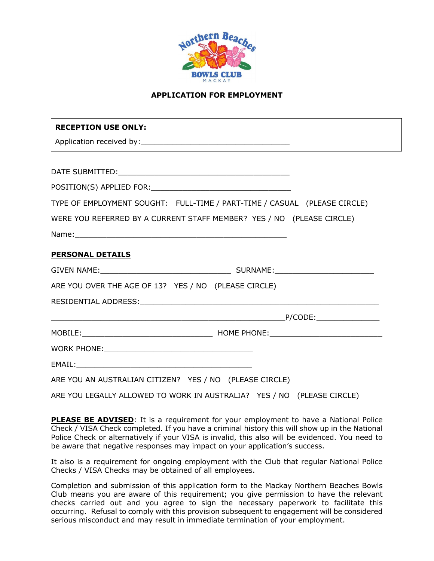

# **APPLICATION FOR EMPLOYMENT**

| <b>RECEPTION USE ONLY:</b>                              |                                                                           |
|---------------------------------------------------------|---------------------------------------------------------------------------|
|                                                         |                                                                           |
|                                                         |                                                                           |
|                                                         |                                                                           |
|                                                         |                                                                           |
|                                                         | TYPE OF EMPLOYMENT SOUGHT: FULL-TIME / PART-TIME / CASUAL (PLEASE CIRCLE) |
|                                                         | WERE YOU REFERRED BY A CURRENT STAFF MEMBER? YES / NO (PLEASE CIRCLE)     |
|                                                         |                                                                           |
| <b>PERSONAL DETAILS</b>                                 |                                                                           |
|                                                         |                                                                           |
| ARE YOU OVER THE AGE OF 13? YES / NO (PLEASE CIRCLE)    |                                                                           |
|                                                         |                                                                           |
|                                                         |                                                                           |
|                                                         | MOBILE: MOBILE: MOME PHONE: MOME PHONE: MOME PHONE:                       |
|                                                         |                                                                           |
|                                                         |                                                                           |
| ARE YOU AN AUSTRALIAN CITIZEN? YES / NO (PLEASE CIRCLE) |                                                                           |
|                                                         | ARE YOU LEGALLY ALLOWED TO WORK IN AUSTRALIA? YES / NO (PLEASE CIRCLE)    |

**PLEASE BE ADVISED**: It is a requirement for your employment to have a National Police Check / VISA Check completed. If you have a criminal history this will show up in the National Police Check or alternatively if your VISA is invalid, this also will be evidenced. You need to be aware that negative responses may impact on your application's success.

It also is a requirement for ongoing employment with the Club that regular National Police Checks / VISA Checks may be obtained of all employees.

Completion and submission of this application form to the Mackay Northern Beaches Bowls Club means you are aware of this requirement; you give permission to have the relevant checks carried out and you agree to sign the necessary paperwork to facilitate this occurring. Refusal to comply with this provision subsequent to engagement will be considered serious misconduct and may result in immediate termination of your employment.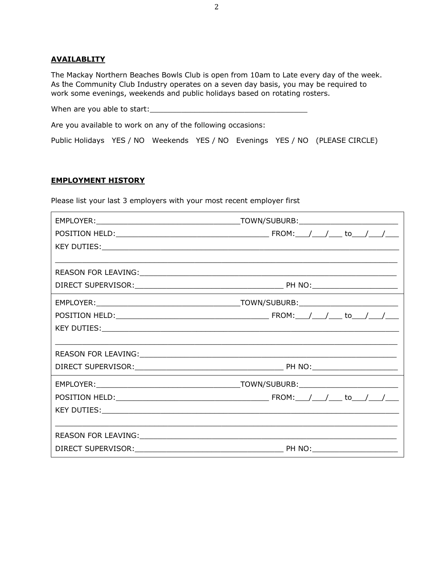### **AVAILABLITY**

The Mackay Northern Beaches Bowls Club is open from 10am to Late every day of the week. As the Community Club Industry operates on a seven day basis, you may be required to work some evenings, weekends and public holidays based on rotating rosters.

When are you able to start:

Are you available to work on any of the following occasions:

Public Holidays YES / NO Weekends YES / NO Evenings YES / NO (PLEASE CIRCLE)

### **EMPLOYMENT HISTORY**

Please list your last 3 employers with your most recent employer first

| REASON FOR LEAVING: New York Canada and the Canada and the Canada and the Canada and the Canada and the Canada A |  |
|------------------------------------------------------------------------------------------------------------------|--|
|                                                                                                                  |  |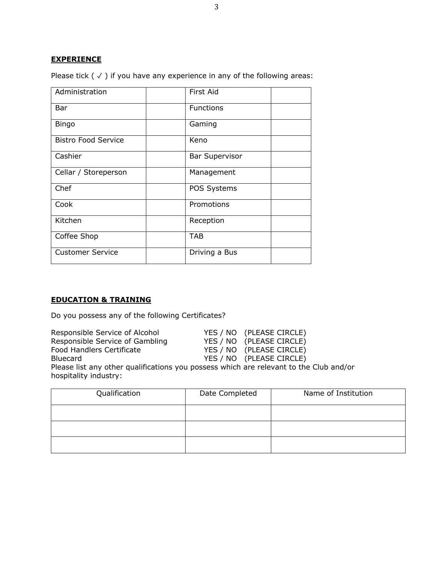# **EXPERIENCE**

Please tick  $($   $\checkmark$   $)$  if you have any experience in any of the following areas:

| Administration             | <b>First Aid</b>      |  |
|----------------------------|-----------------------|--|
| Bar                        | <b>Functions</b>      |  |
| <b>Bingo</b>               | Gaming                |  |
| <b>Bistro Food Service</b> | Keno                  |  |
| Cashier                    | <b>Bar Supervisor</b> |  |
| Cellar / Storeperson       | Management            |  |
| Chef                       | POS Systems           |  |
| Cook                       | Promotions            |  |
| Kitchen                    | Reception             |  |
| Coffee Shop                | <b>TAB</b>            |  |
| <b>Customer Service</b>    | Driving a Bus         |  |

## **EDUCATION & TRAINING**

Do you possess any of the following Certificates?

| Responsible Service of Alcohol  | YES / NO (PLEASE CIRCLE) |
|---------------------------------|--------------------------|
| Responsible Service of Gambling | YES / NO (PLEASE CIRCLE) |
| Food Handlers Certificate       | YES / NO (PLEASE CIRCLE) |
| <b>Bluecard</b>                 | YES / NO (PLEASE CIRCLE) |
|                                 |                          |

Please list any other qualifications you possess which are relevant to the Club and/or hospitality industry:

| Qualification | Date Completed | Name of Institution |
|---------------|----------------|---------------------|
|               |                |                     |
|               |                |                     |
|               |                |                     |